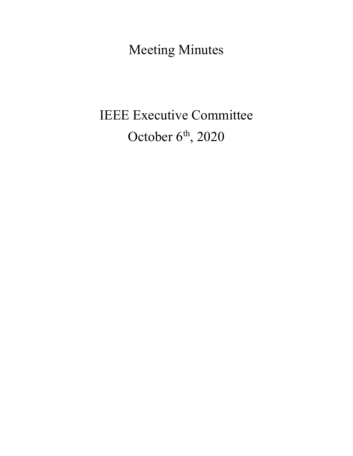Meeting Minutes

# IEEE Executive Committee October 6<sup>th</sup>, 2020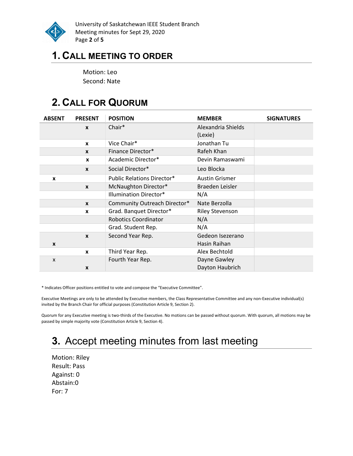

University of Saskatchewan IEEE Student Branch Meeting minutes for Sept 29, 2020 Page 2 of 5

### 1. CALL MEETING TO ORDER

Motion: Leo Second: Nate

# 2. CALL FOR QUORUM

| <b>ABSENT</b> | <b>PRESENT</b>   | <b>POSITION</b>                   | <b>MEMBER</b>                 | <b>SIGNATURES</b> |
|---------------|------------------|-----------------------------------|-------------------------------|-------------------|
|               | $\mathbf{x}$     | Chair*                            | Alexandria Shields<br>(Lexie) |                   |
|               | $\mathbf{x}$     | Vice Chair*                       | Jonathan Tu                   |                   |
|               | $\mathbf{x}$     | Finance Director*                 | Rafeh Khan                    |                   |
|               | X                | Academic Director*                | Devin Ramaswami               |                   |
|               | $\mathbf{x}$     | Social Director*                  | Leo Blocka                    |                   |
| X             |                  | <b>Public Relations Director*</b> | <b>Austin Grismer</b>         |                   |
|               | $\mathbf{x}$     | McNaughton Director*              | Braeden Leisler               |                   |
|               |                  | Illumination Director*            | N/A                           |                   |
|               | $\boldsymbol{x}$ | Community Outreach Director*      | Nate Berzolla                 |                   |
|               | X                | Grad. Banquet Director*           | <b>Riley Stevenson</b>        |                   |
|               |                  | <b>Robotics Coordinator</b>       | N/A                           |                   |
|               |                  | Grad. Student Rep.                | N/A                           |                   |
|               | $\mathbf{x}$     | Second Year Rep.                  | Gedeon Isezerano              |                   |
| X             |                  |                                   | Hasin Raihan                  |                   |
|               | $\boldsymbol{x}$ | Third Year Rep.                   | Alex Bechtold                 |                   |
| X             |                  | Fourth Year Rep.                  | Dayne Gawley                  |                   |
|               | X                |                                   | Dayton Haubrich               |                   |

\* Indicates Officer positions entitled to vote and compose the "Executive Committee".

Executive Meetings are only to be attended by Executive members, the Class Representative Committee and any non-Executive individual(s) invited by the Branch Chair for official purposes (Constitution Article 9, Section 2).

Quorum for any Executive meeting is two-thirds of the Executive. No motions can be passed without quorum. With quorum, all motions may be passed by simple majority vote (Constitution Article 9, Section 4).

# 3. Accept meeting minutes from last meeting

Motion: Riley Result: Pass Against: 0 Abstain:0 For: 7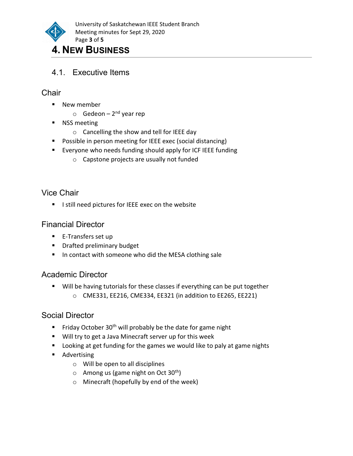

# 4. NEW BUSINESS

4.1. Executive Items

#### **Chair**

- New member
	- $\circ$  Gedeon 2<sup>nd</sup> year rep
- **NSS meeting** 
	- o Cancelling the show and tell for IEEE day
- **Possible in person meeting for IEEE exec (social distancing)**
- **Exeryone who needs funding should apply for ICF IEEE funding** 
	- o Capstone projects are usually not funded

#### Vice Chair

I still need pictures for IEEE exec on the website

#### Financial Director

- E-Transfers set up
- **Paramer Drafted preliminary budget**
- **IF In contact with someone who did the MESA clothing sale**

#### Academic Director

 Will be having tutorials for these classes if everything can be put together o CME331, EE216, CME334, EE321 (in addition to EE265, EE221)

#### Social Director

- Friday October 30<sup>th</sup> will probably be the date for game night
- **Will try to get a Java Minecraft server up for this week**
- **Looking at get funding for the games we would like to paly at game nights**
- **Advertising** 
	- o Will be open to all disciplines
	- $\circ$  Among us (game night on Oct 30<sup>th</sup>)
	- o Minecraft (hopefully by end of the week)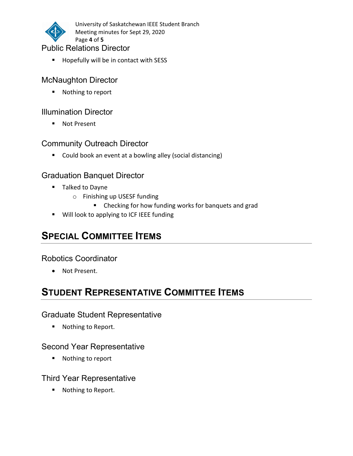

University of Saskatchewan IEEE Student Branch Meeting minutes for Sept 29, 2020 Page 4 of 5

#### Public Relations Director

Hopefully will be in contact with SESS

#### McNaughton Director

■ Nothing to report

#### Illumination Director

■ Not Present

#### Community Outreach Director

■ Could book an event at a bowling alley (social distancing)

#### Graduation Banquet Director

- **Talked to Dayne** 
	- o Finishing up USESF funding
		- **E** Checking for how funding works for banquets and grad
- **Will look to applying to ICF IEEE funding**

# SPECIAL COMMITTEE ITEMS

#### Robotics Coordinator

Not Present.

# STUDENT REPRESENTATIVE COMMITTEE ITEMS

#### Graduate Student Representative

■ Nothing to Report.

#### Second Year Representative

■ Nothing to report

#### Third Year Representative

■ Nothing to Report.